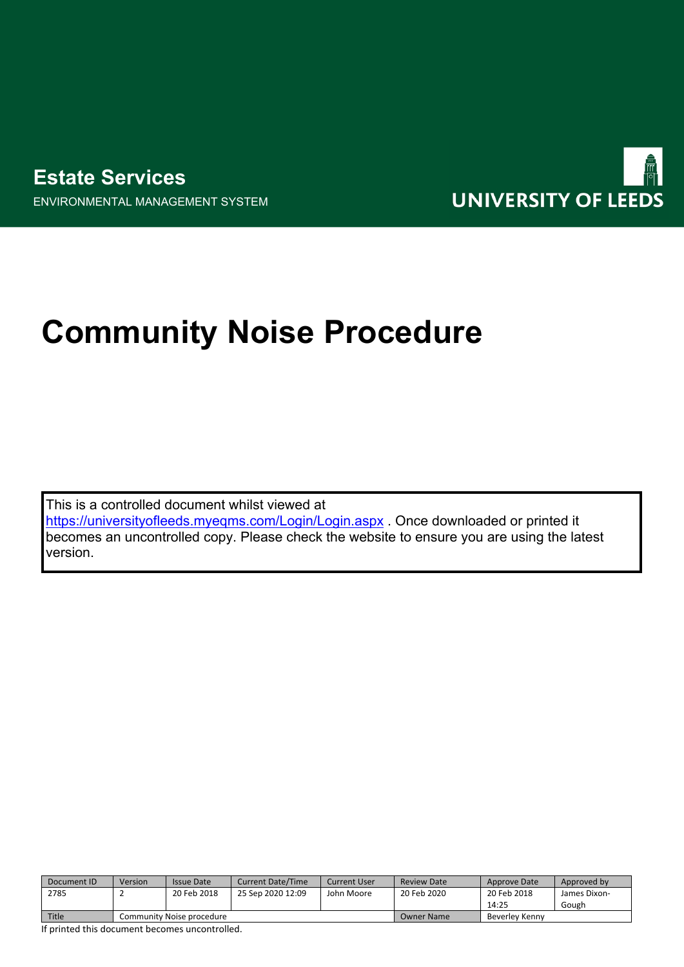

ENVIRONMENTAL MANAGEMENT SYSTEM



# **Community Noise Procedure**

This is a controlled document whilst viewed at <https://universityofleeds.myeqms.com/Login/Login.aspx> . Once downloaded or printed it becomes an uncontrolled copy. Please check the website to ensure you are using the latest version.

| Document ID | Version                   | <b>Issue Date</b> | <b>Current Date/Time</b> | Current User | <b>Review Date</b> | Approve Date   | Approved by  |
|-------------|---------------------------|-------------------|--------------------------|--------------|--------------------|----------------|--------------|
| 2785        |                           | 20 Feb 2018       | 25 Sep 2020 12:09        | John Moore   | 20 Feb 2020        | 20 Feb 2018    | James Dixon- |
|             |                           |                   |                          |              |                    | 14:25          | Gough        |
| Title       | Community Noise procedure |                   |                          |              | Owner Name         | Beverley Kenny |              |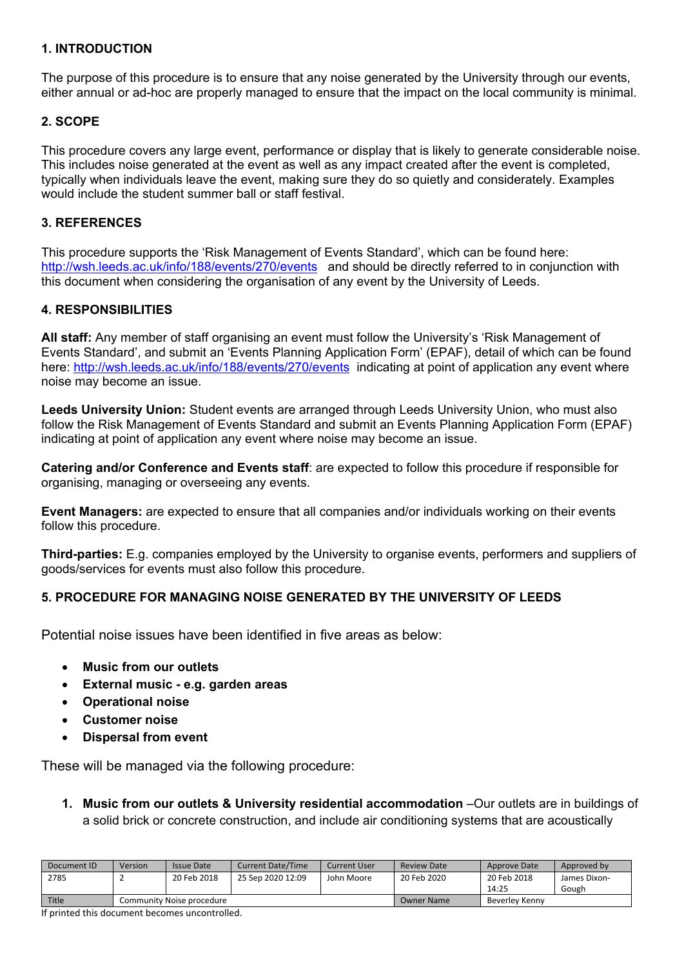## **1. INTRODUCTION**

The purpose of this procedure is to ensure that any noise generated by the University through our events, either annual or ad-hoc are properly managed to ensure that the impact on the local community is minimal.

## **2. SCOPE**

This procedure covers any large event, performance or display that is likely to generate considerable noise. This includes noise generated at the event as well as any impact created after the event is completed, typically when individuals leave the event, making sure they do so quietly and considerately. Examples would include the student summer ball or staff festival.

## **3. REFERENCES**

This procedure supports the 'Risk Management of Events Standard', which can be found here: <http://wsh.leeds.ac.uk/info/188/events/270/events> and should be directly referred to in conjunction with this document when considering the organisation of any event by the University of Leeds.

## **4. RESPONSIBILITIES**

**All staff:** Any member of staff organising an event must follow the University's 'Risk Management of Events Standard', and submit an 'Events Planning Application Form' (EPAF), detail of which can be found here:<http://wsh.leeds.ac.uk/info/188/events/270/events> indicating at point of application any event where noise may become an issue.

**Leeds University Union:** Student events are arranged through Leeds University Union, who must also follow the Risk Management of Events Standard and submit an Events Planning Application Form (EPAF) indicating at point of application any event where noise may become an issue.

**Catering and/or Conference and Events staff**: are expected to follow this procedure if responsible for organising, managing or overseeing any events.

**Event Managers:** are expected to ensure that all companies and/or individuals working on their events follow this procedure.

**Third-parties:** E.g. companies employed by the University to organise events, performers and suppliers of goods/services for events must also follow this procedure.

# **5. PROCEDURE FOR MANAGING NOISE GENERATED BY THE UNIVERSITY OF LEEDS**

Potential noise issues have been identified in five areas as below:

- **Music from our outlets**
- **External music e.g. garden areas**
- **Operational noise**
- **Customer noise**
- **Dispersal from event**

These will be managed via the following procedure:

**1. Music from our outlets & University residential accommodation** –Our outlets are in buildings of a solid brick or concrete construction, and include air conditioning systems that are acoustically

| Document ID | Version                   | <b>Issue Date</b> | <b>Current Date/Time</b> | Current User | Review Date | Approve Date   | Approved by  |
|-------------|---------------------------|-------------------|--------------------------|--------------|-------------|----------------|--------------|
| 2785        |                           | 20 Feb 2018       | 25 Sep 2020 12:09        | John Moore   | 20 Feb 2020 | 20 Feb 2018    | James Dixon- |
|             |                           |                   |                          |              |             | 14:25          | Gough        |
| Title       | Community Noise procedure |                   |                          |              | Owner Name  | Beverley Kenny |              |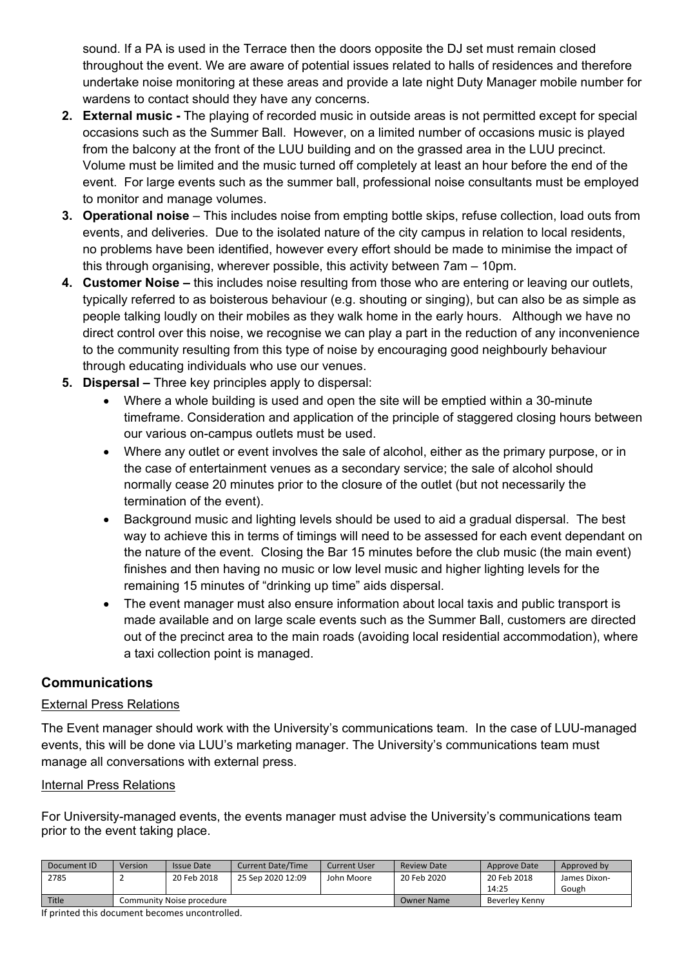sound. If a PA is used in the Terrace then the doors opposite the DJ set must remain closed throughout the event. We are aware of potential issues related to halls of residences and therefore undertake noise monitoring at these areas and provide a late night Duty Manager mobile number for wardens to contact should they have any concerns.

- **2. External music** The playing of recorded music in outside areas is not permitted except for special occasions such as the Summer Ball. However, on a limited number of occasions music is played from the balcony at the front of the LUU building and on the grassed area in the LUU precinct. Volume must be limited and the music turned off completely at least an hour before the end of the event. For large events such as the summer ball, professional noise consultants must be employed to monitor and manage volumes.
- **3. Operational noise** This includes noise from empting bottle skips, refuse collection, load outs from events, and deliveries. Due to the isolated nature of the city campus in relation to local residents, no problems have been identified, however every effort should be made to minimise the impact of this through organising, wherever possible, this activity between 7am – 10pm.
- **4. Customer Noise** this includes noise resulting from those who are entering or leaving our outlets, typically referred to as boisterous behaviour (e.g. shouting or singing), but can also be as simple as people talking loudly on their mobiles as they walk home in the early hours. Although we have no direct control over this noise, we recognise we can play a part in the reduction of any inconvenience to the community resulting from this type of noise by encouraging good neighbourly behaviour through educating individuals who use our venues.
- **5. Dispersal** Three key principles apply to dispersal:
	- Where a whole building is used and open the site will be emptied within a 30-minute timeframe. Consideration and application of the principle of staggered closing hours between our various on-campus outlets must be used.
	- Where any outlet or event involves the sale of alcohol, either as the primary purpose, or in the case of entertainment venues as a secondary service; the sale of alcohol should normally cease 20 minutes prior to the closure of the outlet (but not necessarily the termination of the event).
	- Background music and lighting levels should be used to aid a gradual dispersal. The best way to achieve this in terms of timings will need to be assessed for each event dependant on the nature of the event. Closing the Bar 15 minutes before the club music (the main event) finishes and then having no music or low level music and higher lighting levels for the remaining 15 minutes of "drinking up time" aids dispersal.
	- The event manager must also ensure information about local taxis and public transport is made available and on large scale events such as the Summer Ball, customers are directed out of the precinct area to the main roads (avoiding local residential accommodation), where a taxi collection point is managed.

# **Communications**

# External Press Relations

The Event manager should work with the University's communications team. In the case of LUU-managed events, this will be done via LUU's marketing manager. The University's communications team must manage all conversations with external press.

# Internal Press Relations

For University-managed events, the events manager must advise the University's communications team prior to the event taking place.

| Document ID | Version                   | <b>Issue Date</b> | <b>Current Date/Time</b> | Current User | <b>Review Date</b> | Approve Date   | Approved by  |  |
|-------------|---------------------------|-------------------|--------------------------|--------------|--------------------|----------------|--------------|--|
| 2785        |                           | 20 Feb 2018       | 25 Sep 2020 12:09        | John Moore   | 20 Feb 2020        | 20 Feb 2018    | James Dixon- |  |
|             |                           |                   |                          |              |                    | 14:25          | Gough        |  |
| Title       | Community Noise procedure |                   |                          |              | <b>Owner Name</b>  | Beverley Kenny |              |  |